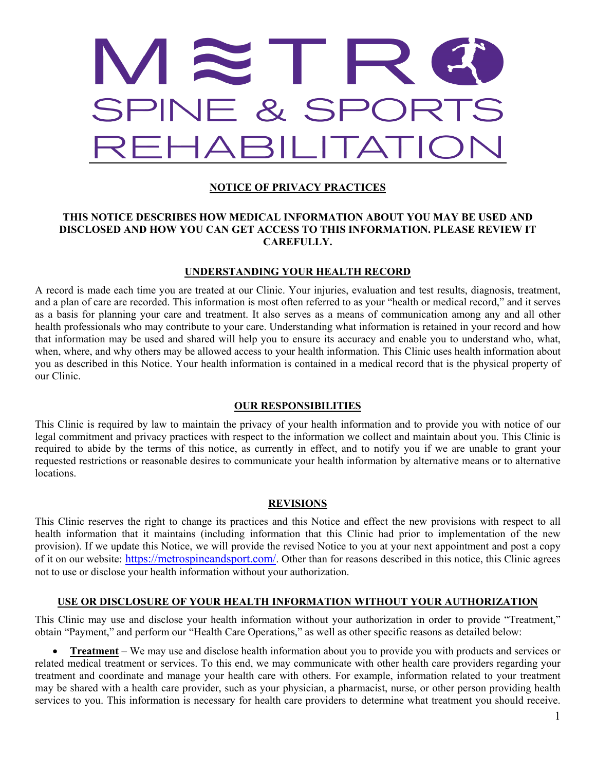

# **NOTICE OF PRIVACY PRACTICES**

### **THIS NOTICE DESCRIBES HOW MEDICAL INFORMATION ABOUT YOU MAY BE USED AND DISCLOSED AND HOW YOU CAN GET ACCESS TO THIS INFORMATION. PLEASE REVIEW IT CAREFULLY.**

#### **UNDERSTANDING YOUR HEALTH RECORD**

A record is made each time you are treated at our Clinic. Your injuries, evaluation and test results, diagnosis, treatment, and a plan of care are recorded. This information is most often referred to as your "health or medical record," and it serves as a basis for planning your care and treatment. It also serves as a means of communication among any and all other health professionals who may contribute to your care. Understanding what information is retained in your record and how that information may be used and shared will help you to ensure its accuracy and enable you to understand who, what, when, where, and why others may be allowed access to your health information. This Clinic uses health information about you as described in this Notice. Your health information is contained in a medical record that is the physical property of our Clinic.

#### **OUR RESPONSIBILITIES**

This Clinic is required by law to maintain the privacy of your health information and to provide you with notice of our legal commitment and privacy practices with respect to the information we collect and maintain about you. This Clinic is required to abide by the terms of this notice, as currently in effect, and to notify you if we are unable to grant your requested restrictions or reasonable desires to communicate your health information by alternative means or to alternative locations.

#### **REVISIONS**

This Clinic reserves the right to change its practices and this Notice and effect the new provisions with respect to all health information that it maintains (including information that this Clinic had prior to implementation of the new provision). If we update this Notice, we will provide the revised Notice to you at your next appointment and post a copy of it on our website: [https://metrospineandsport.com/.](https://metrospineandsport.com/) Other than for reasons described in this notice, this Clinic agrees not to use or disclose your health information without your authorization.

#### **USE OR DISCLOSURE OF YOUR HEALTH INFORMATION WITHOUT YOUR AUTHORIZATION**

This Clinic may use and disclose your health information without your authorization in order to provide "Treatment," obtain "Payment," and perform our "Health Care Operations," as well as other specific reasons as detailed below:

• **Treatment** – We may use and disclose health information about you to provide you with products and services or related medical treatment or services. To this end, we may communicate with other health care providers regarding your treatment and coordinate and manage your health care with others. For example, information related to your treatment may be shared with a health care provider, such as your physician, a pharmacist, nurse, or other person providing health services to you. This information is necessary for health care providers to determine what treatment you should receive.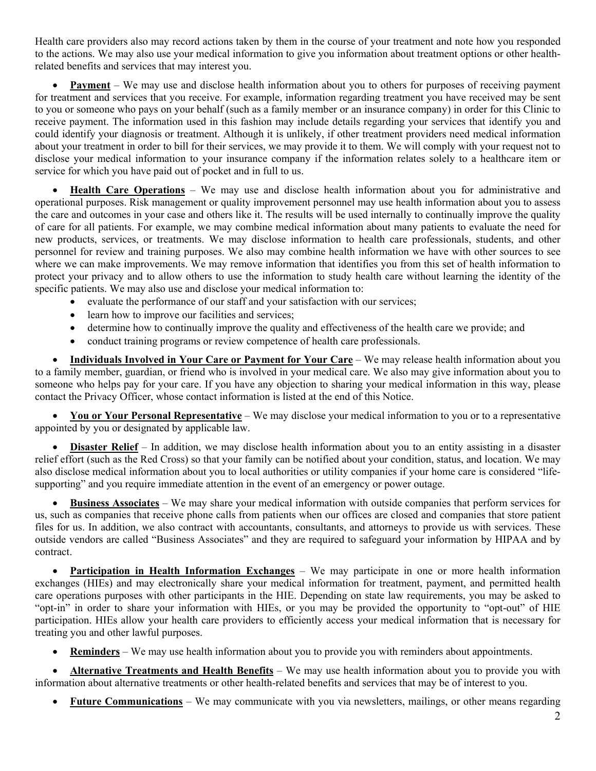Health care providers also may record actions taken by them in the course of your treatment and note how you responded to the actions. We may also use your medical information to give you information about treatment options or other healthrelated benefits and services that may interest you.

• **Payment** – We may use and disclose health information about you to others for purposes of receiving payment for treatment and services that you receive. For example, information regarding treatment you have received may be sent to you or someone who pays on your behalf (such as a family member or an insurance company) in order for this Clinic to receive payment. The information used in this fashion may include details regarding your services that identify you and could identify your diagnosis or treatment. Although it is unlikely, if other treatment providers need medical information about your treatment in order to bill for their services, we may provide it to them. We will comply with your request not to disclose your medical information to your insurance company if the information relates solely to a healthcare item or service for which you have paid out of pocket and in full to us.

• **Health Care Operations** – We may use and disclose health information about you for administrative and operational purposes. Risk management or quality improvement personnel may use health information about you to assess the care and outcomes in your case and others like it. The results will be used internally to continually improve the quality of care for all patients. For example, we may combine medical information about many patients to evaluate the need for new products, services, or treatments. We may disclose information to health care professionals, students, and other personnel for review and training purposes. We also may combine health information we have with other sources to see where we can make improvements. We may remove information that identifies you from this set of health information to protect your privacy and to allow others to use the information to study health care without learning the identity of the specific patients. We may also use and disclose your medical information to:

- evaluate the performance of our staff and your satisfaction with our services;
- learn how to improve our facilities and services;
- determine how to continually improve the quality and effectiveness of the health care we provide; and
- conduct training programs or review competence of health care professionals.

• **Individuals Involved in Your Care or Payment for Your Care** – We may release health information about you to a family member, guardian, or friend who is involved in your medical care. We also may give information about you to someone who helps pay for your care. If you have any objection to sharing your medical information in this way, please contact the Privacy Officer, whose contact information is listed at the end of this Notice.

• **You or Your Personal Representative** – We may disclose your medical information to you or to a representative appointed by you or designated by applicable law.

**Disaster Relief** – In addition, we may disclose health information about you to an entity assisting in a disaster relief effort (such as the Red Cross) so that your family can be notified about your condition, status, and location. We may also disclose medical information about you to local authorities or utility companies if your home care is considered "lifesupporting" and you require immediate attention in the event of an emergency or power outage.

• **Business Associates** – We may share your medical information with outside companies that perform services for us, such as companies that receive phone calls from patients when our offices are closed and companies that store patient files for us. In addition, we also contract with accountants, consultants, and attorneys to provide us with services. These outside vendors are called "Business Associates" and they are required to safeguard your information by HIPAA and by contract.

• **Participation in Health Information Exchanges** – We may participate in one or more health information exchanges (HIEs) and may electronically share your medical information for treatment, payment, and permitted health care operations purposes with other participants in the HIE. Depending on state law requirements, you may be asked to "opt-in" in order to share your information with HIEs, or you may be provided the opportunity to "opt-out" of HIE participation. HIEs allow your health care providers to efficiently access your medical information that is necessary for treating you and other lawful purposes.

• **Reminders** – We may use health information about you to provide you with reminders about appointments.

• **Alternative Treatments and Health Benefits** – We may use health information about you to provide you with information about alternative treatments or other health-related benefits and services that may be of interest to you.

• **Future Communications** – We may communicate with you via newsletters, mailings, or other means regarding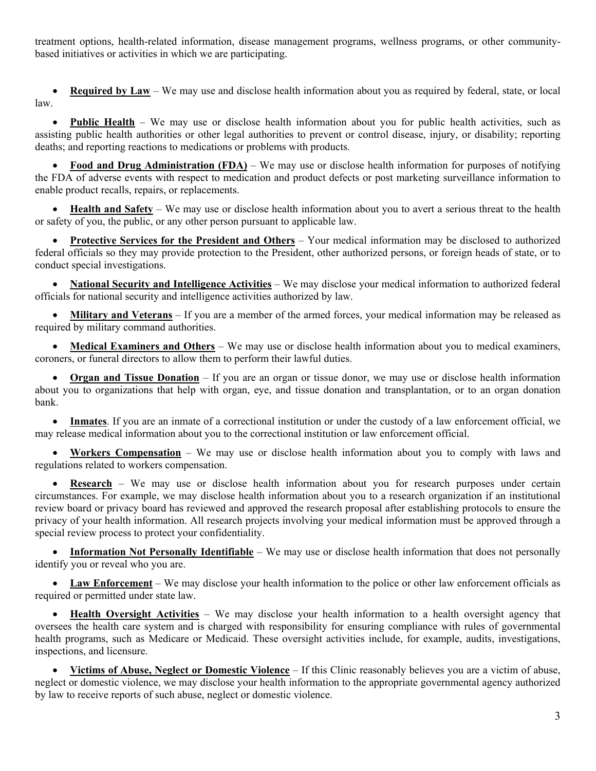treatment options, health-related information, disease management programs, wellness programs, or other communitybased initiatives or activities in which we are participating.

**Required by Law** – We may use and disclose health information about you as required by federal, state, or local law.

**Public Health** – We may use or disclose health information about you for public health activities, such as assisting public health authorities or other legal authorities to prevent or control disease, injury, or disability; reporting deaths; and reporting reactions to medications or problems with products.

• **Food and Drug Administration (FDA)** – We may use or disclose health information for purposes of notifying the FDA of adverse events with respect to medication and product defects or post marketing surveillance information to enable product recalls, repairs, or replacements.

• **Health and Safety** – We may use or disclose health information about you to avert a serious threat to the health or safety of you, the public, or any other person pursuant to applicable law.

• **Protective Services for the President and Others** – Your medical information may be disclosed to authorized federal officials so they may provide protection to the President, other authorized persons, or foreign heads of state, or to conduct special investigations.

• **National Security and Intelligence Activities** – We may disclose your medical information to authorized federal officials for national security and intelligence activities authorized by law.

• **Military and Veterans** – If you are a member of the armed forces, your medical information may be released as required by military command authorities.

• **Medical Examiners and Others** – We may use or disclose health information about you to medical examiners, coroners, or funeral directors to allow them to perform their lawful duties.

**Organ and Tissue Donation** – If you are an organ or tissue donor, we may use or disclose health information about you to organizations that help with organ, eye, and tissue donation and transplantation, or to an organ donation bank.

• **Inmates**. If you are an inmate of a correctional institution or under the custody of a law enforcement official, we may release medical information about you to the correctional institution or law enforcement official.

• **Workers Compensation** – We may use or disclose health information about you to comply with laws and regulations related to workers compensation.

**Research** – We may use or disclose health information about you for research purposes under certain circumstances. For example, we may disclose health information about you to a research organization if an institutional review board or privacy board has reviewed and approved the research proposal after establishing protocols to ensure the privacy of your health information. All research projects involving your medical information must be approved through a special review process to protect your confidentiality.

• **Information Not Personally Identifiable** – We may use or disclose health information that does not personally identify you or reveal who you are.

• **Law Enforcement** – We may disclose your health information to the police or other law enforcement officials as required or permitted under state law.

• **Health Oversight Activities** – We may disclose your health information to a health oversight agency that oversees the health care system and is charged with responsibility for ensuring compliance with rules of governmental health programs, such as Medicare or Medicaid. These oversight activities include, for example, audits, investigations, inspections, and licensure.

• **Victims of Abuse, Neglect or Domestic Violence** *–* If this Clinic reasonably believes you are a victim of abuse, neglect or domestic violence, we may disclose your health information to the appropriate governmental agency authorized by law to receive reports of such abuse, neglect or domestic violence.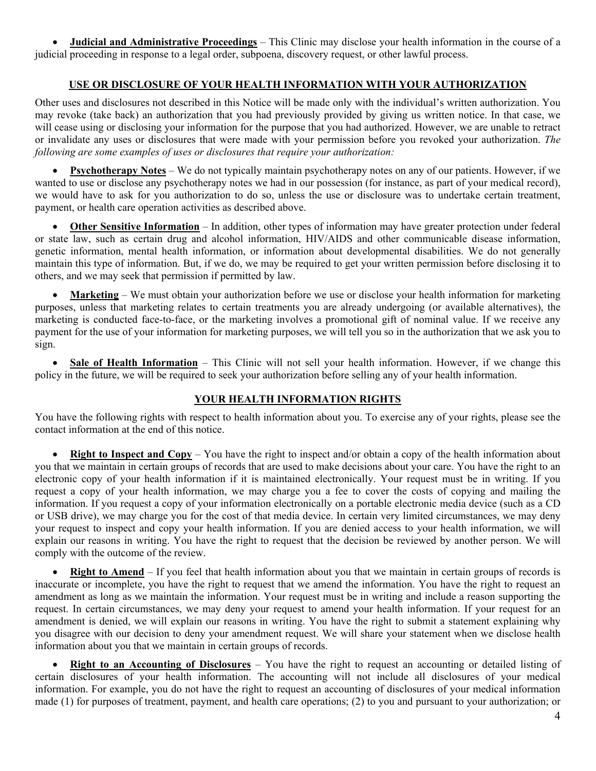• **Judicial and Administrative Proceedings** – This Clinic may disclose your health information in the course of a judicial proceeding in response to a legal order, subpoena, discovery request, or other lawful process.

# **USE OR DISCLOSURE OF YOUR HEALTH INFORMATION WITH YOUR AUTHORIZATION**

Other uses and disclosures not described in this Notice will be made only with the individual's written authorization. You may revoke (take back) an authorization that you had previously provided by giving us written notice. In that case, we will cease using or disclosing your information for the purpose that you had authorized. However, we are unable to retract or invalidate any uses or disclosures that were made with your permission before you revoked your authorization. *The following are some examples of uses or disclosures that require your authorization:*

• **Psychotherapy Notes** – We do not typically maintain psychotherapy notes on any of our patients. However, if we wanted to use or disclose any psychotherapy notes we had in our possession (for instance, as part of your medical record), we would have to ask for you authorization to do so, unless the use or disclosure was to undertake certain treatment, payment, or health care operation activities as described above.

• **Other Sensitive Information** – In addition, other types of information may have greater protection under federal or state law, such as certain drug and alcohol information, HIV/AIDS and other communicable disease information, genetic information, mental health information, or information about developmental disabilities. We do not generally maintain this type of information. But, if we do, we may be required to get your written permission before disclosing it to others, and we may seek that permission if permitted by law.

• **Marketing** – We must obtain your authorization before we use or disclose your health information for marketing purposes, unless that marketing relates to certain treatments you are already undergoing (or available alternatives), the marketing is conducted face-to-face, or the marketing involves a promotional gift of nominal value. If we receive any payment for the use of your information for marketing purposes, we will tell you so in the authorization that we ask you to sign.

• **Sale of Health Information** – This Clinic will not sell your health information. However, if we change this policy in the future, we will be required to seek your authorization before selling any of your health information.

## **YOUR HEALTH INFORMATION RIGHTS**

You have the following rights with respect to health information about you. To exercise any of your rights, please see the contact information at the end of this notice.

**Right to Inspect and Copy** – You have the right to inspect and/or obtain a copy of the health information about you that we maintain in certain groups of records that are used to make decisions about your care. You have the right to an electronic copy of your health information if it is maintained electronically. Your request must be in writing. If you request a copy of your health information, we may charge you a fee to cover the costs of copying and mailing the information. If you request a copy of your information electronically on a portable electronic media device (such as a CD or USB drive), we may charge you for the cost of that media device. In certain very limited circumstances, we may deny your request to inspect and copy your health information. If you are denied access to your health information, we will explain our reasons in writing. You have the right to request that the decision be reviewed by another person. We will comply with the outcome of the review.

**Right to Amend** – If you feel that health information about you that we maintain in certain groups of records is inaccurate or incomplete, you have the right to request that we amend the information. You have the right to request an amendment as long as we maintain the information. Your request must be in writing and include a reason supporting the request. In certain circumstances, we may deny your request to amend your health information. If your request for an amendment is denied, we will explain our reasons in writing. You have the right to submit a statement explaining why you disagree with our decision to deny your amendment request. We will share your statement when we disclose health information about you that we maintain in certain groups of records.

• **Right to an Accounting of Disclosures** – You have the right to request an accounting or detailed listing of certain disclosures of your health information. The accounting will not include all disclosures of your medical information. For example, you do not have the right to request an accounting of disclosures of your medical information made (1) for purposes of treatment, payment, and health care operations; (2) to you and pursuant to your authorization; or